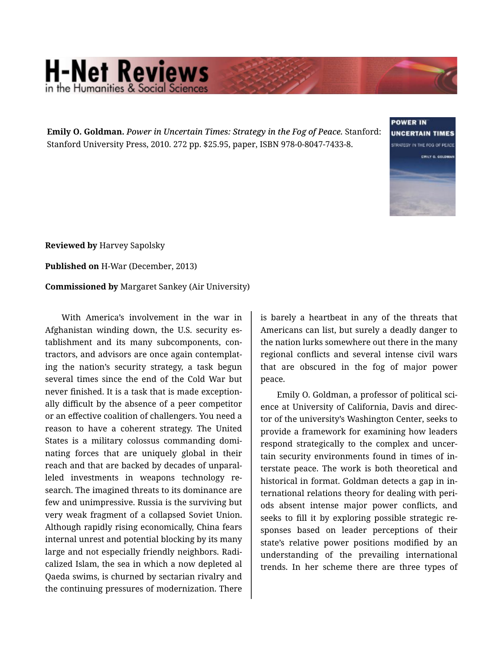## **H-Net Reviews** in the Humanities & Social Scie

**Emily O. Goldman.** *Power in Uncertain Times: Strategy in the Fog of Peace.* Stanford: Stanford University Press, 2010. 272 pp. \$25.95, paper, ISBN 978-0-8047-7433-8.



**Reviewed by** Harvey Sapolsky

**Published on** H-War (December, 2013)

**Commissioned by** Margaret Sankey (Air University)

With America's involvement in the war in Afghanistan winding down, the U.S. security es‐ tablishment and its many subcomponents, con‐ tractors, and advisors are once again contemplat‐ ing the nation's security strategy, a task begun several times since the end of the Cold War but never finished. It is a task that is made exception‐ ally difficult by the absence of a peer competitor or an effective coalition of challengers. You need a reason to have a coherent strategy. The United States is a military colossus commanding domi‐ nating forces that are uniquely global in their reach and that are backed by decades of unparal‐ leled investments in weapons technology re‐ search. The imagined threats to its dominance are few and unimpressive. Russia is the surviving but very weak fragment of a collapsed Soviet Union. Although rapidly rising economically, China fears internal unrest and potential blocking by its many large and not especially friendly neighbors. Radi‐ calized Islam, the sea in which a now depleted al Qaeda swims, is churned by sectarian rivalry and the continuing pressures of modernization. There

is barely a heartbeat in any of the threats that Americans can list, but surely a deadly danger to the nation lurks somewhere out there in the many regional conflicts and several intense civil wars that are obscured in the fog of major power peace.

Emily O. Goldman, a professor of political sci‐ ence at University of California, Davis and direc‐ tor of the university's Washington Center, seeks to provide a framework for examining how leaders respond strategically to the complex and uncer‐ tain security environments found in times of in‐ terstate peace. The work is both theoretical and historical in format. Goldman detects a gap in in‐ ternational relations theory for dealing with peri‐ ods absent intense major power conflicts, and seeks to fill it by exploring possible strategic re‐ sponses based on leader perceptions of their state's relative power positions modified by an understanding of the prevailing international trends. In her scheme there are three types of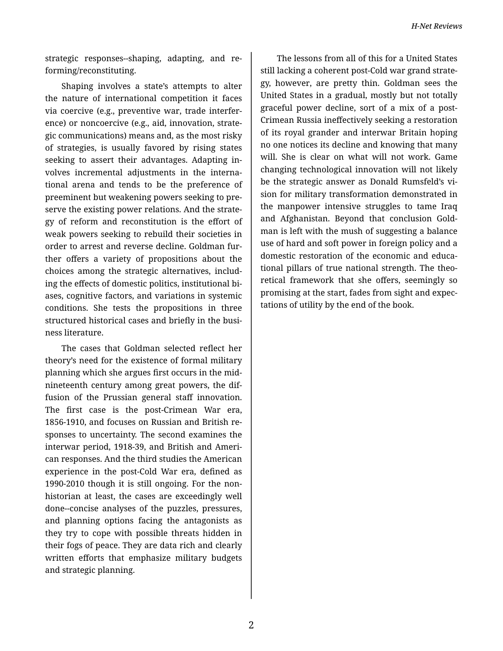strategic responses--shaping, adapting, and re‐ forming/reconstituting.

Shaping involves a state's attempts to alter the nature of international competition it faces via coercive (e.g., preventive war, trade interfer‐ ence) or noncoercive (e.g., aid, innovation, strate‐ gic communications) means and, as the most risky of strategies, is usually favored by rising states seeking to assert their advantages. Adapting in‐ volves incremental adjustments in the interna‐ tional arena and tends to be the preference of preeminent but weakening powers seeking to pre‐ serve the existing power relations. And the strate‐ gy of reform and reconstitution is the effort of weak powers seeking to rebuild their societies in order to arrest and reverse decline. Goldman fur‐ ther offers a variety of propositions about the choices among the strategic alternatives, includ‐ ing the effects of domestic politics, institutional bi‐ ases, cognitive factors, and variations in systemic conditions. She tests the propositions in three structured historical cases and briefly in the busi‐ ness literature.

The cases that Goldman selected reflect her theory's need for the existence of formal military planning which she argues first occurs in the midnineteenth century among great powers, the dif‐ fusion of the Prussian general staff innovation. The first case is the post-Crimean War era, 1856-1910, and focuses on Russian and British re‐ sponses to uncertainty. The second examines the interwar period, 1918-39, and British and Ameri‐ can responses. And the third studies the American experience in the post-Cold War era, defined as 1990-2010 though it is still ongoing. For the nonhistorian at least, the cases are exceedingly well done--concise analyses of the puzzles, pressures, and planning options facing the antagonists as they try to cope with possible threats hidden in their fogs of peace. They are data rich and clearly written efforts that emphasize military budgets and strategic planning.

The lessons from all of this for a United States still lacking a coherent post-Cold war grand strate‐ gy, however, are pretty thin. Goldman sees the United States in a gradual, mostly but not totally graceful power decline, sort of a mix of a post-Crimean Russia ineffectively seeking a restoration of its royal grander and interwar Britain hoping no one notices its decline and knowing that many will. She is clear on what will not work. Game changing technological innovation will not likely be the strategic answer as Donald Rumsfeld's vi‐ sion for military transformation demonstrated in the manpower intensive struggles to tame Iraq and Afghanistan. Beyond that conclusion Gold‐ man is left with the mush of suggesting a balance use of hard and soft power in foreign policy and a domestic restoration of the economic and educa‐ tional pillars of true national strength. The theo‐ retical framework that she offers, seemingly so promising at the start, fades from sight and expec‐ tations of utility by the end of the book.